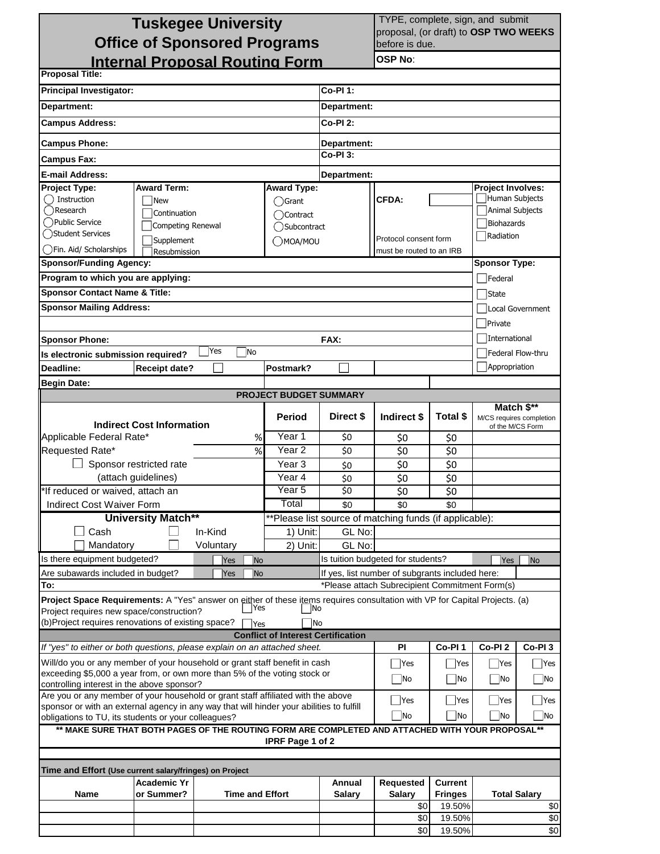| <b>Tuskegee University</b>                                                                                                  |                                               |                        |                                           |                         |                                                                                                   | TYPE, complete, sign, and submit |                          |                                        |  |  |  |  |
|-----------------------------------------------------------------------------------------------------------------------------|-----------------------------------------------|------------------------|-------------------------------------------|-------------------------|---------------------------------------------------------------------------------------------------|----------------------------------|--------------------------|----------------------------------------|--|--|--|--|
| <b>Office of Sponsored Programs</b>                                                                                         |                                               |                        |                                           |                         | proposal, (or draft) to OSP TWO WEEKS<br>before is due.                                           |                                  |                          |                                        |  |  |  |  |
| <b>Internal Proposal Routing Form</b>                                                                                       |                                               | <b>OSP No:</b>         |                                           |                         |                                                                                                   |                                  |                          |                                        |  |  |  |  |
| <b>Proposal Title:</b>                                                                                                      |                                               |                        |                                           |                         |                                                                                                   |                                  |                          |                                        |  |  |  |  |
| <b>Principal Investigator:</b>                                                                                              | <b>Co-PI 1:</b>                               |                        |                                           |                         |                                                                                                   |                                  |                          |                                        |  |  |  |  |
| Department:                                                                                                                 |                                               |                        |                                           | Department:             |                                                                                                   |                                  |                          |                                        |  |  |  |  |
| <b>Campus Address:</b>                                                                                                      |                                               |                        |                                           | Co-PI 2:                |                                                                                                   |                                  |                          |                                        |  |  |  |  |
|                                                                                                                             |                                               |                        |                                           |                         |                                                                                                   |                                  |                          |                                        |  |  |  |  |
| <b>Campus Phone:</b>                                                                                                        |                                               |                        |                                           | Department:<br>Co-PI 3: |                                                                                                   |                                  |                          |                                        |  |  |  |  |
| <b>Campus Fax:</b><br>E-mail Address:                                                                                       |                                               |                        |                                           |                         |                                                                                                   |                                  |                          |                                        |  |  |  |  |
| Project Type:                                                                                                               | <b>Award Term:</b>                            |                        | <b>Award Type:</b>                        | Department:             |                                                                                                   |                                  | <b>Project Involves:</b> |                                        |  |  |  |  |
| $\bigcap$ Instruction                                                                                                       | <b>New</b>                                    |                        |                                           | $\bigcirc$ Grant        |                                                                                                   | <b>CFDA:</b>                     |                          | Human Subjects                         |  |  |  |  |
| () Research                                                                                                                 | Continuation                                  |                        | ◯ Contract                                |                         |                                                                                                   |                                  | Animal Subjects          |                                        |  |  |  |  |
| () Public Service                                                                                                           | Competing Renewal                             |                        | ◯Subcontract                              |                         |                                                                                                   |                                  | Biohazards               |                                        |  |  |  |  |
|                                                                                                                             | () Student Services<br>Supplement<br>OMOA/MOU |                        |                                           |                         | Radiation<br>Protocol consent form                                                                |                                  |                          |                                        |  |  |  |  |
| ()Fin. Aid/ Scholarships                                                                                                    | must be routed to an IRB<br>Resubmission      |                        |                                           |                         |                                                                                                   |                                  |                          |                                        |  |  |  |  |
| <b>Sponsor/Funding Agency:</b>                                                                                              |                                               |                        |                                           |                         |                                                                                                   |                                  | <b>Sponsor Type:</b>     |                                        |  |  |  |  |
| Program to which you are applying:                                                                                          |                                               |                        |                                           |                         |                                                                                                   |                                  | Federal                  |                                        |  |  |  |  |
| <b>Sponsor Contact Name &amp; Title:</b>                                                                                    |                                               |                        |                                           |                         |                                                                                                   |                                  | <b>State</b>             |                                        |  |  |  |  |
| <b>Sponsor Mailing Address:</b>                                                                                             |                                               |                        |                                           |                         |                                                                                                   |                                  | Local Government         |                                        |  |  |  |  |
|                                                                                                                             |                                               |                        |                                           |                         |                                                                                                   |                                  | Private                  |                                        |  |  |  |  |
| <b>Sponsor Phone:</b>                                                                                                       |                                               |                        |                                           | FAX:                    |                                                                                                   |                                  | International            |                                        |  |  |  |  |
| Is electronic submission required?                                                                                          |                                               | Yes<br>No              |                                           |                         |                                                                                                   |                                  | Federal Flow-thru        |                                        |  |  |  |  |
| <b>Deadline:</b>                                                                                                            | <b>Receipt date?</b>                          |                        | Postmark?                                 |                         |                                                                                                   |                                  | Appropriation            |                                        |  |  |  |  |
| <b>Begin Date:</b>                                                                                                          |                                               |                        |                                           |                         |                                                                                                   |                                  |                          |                                        |  |  |  |  |
|                                                                                                                             |                                               |                        | PROJECT BUDGET SUMMARY                    |                         |                                                                                                   |                                  |                          |                                        |  |  |  |  |
|                                                                                                                             |                                               |                        | Period                                    | Direct \$               | Indirect \$                                                                                       | <b>Total \$</b>                  |                          | Match \$**<br>M/CS requires completion |  |  |  |  |
| <b>Indirect Cost Information</b>                                                                                            |                                               |                        |                                           |                         |                                                                                                   |                                  |                          | of the M/CS Form                       |  |  |  |  |
| Applicable Federal Rate*                                                                                                    |                                               | %                      | Year <sub>1</sub>                         | \$0                     | \$0                                                                                               | \$0                              |                          |                                        |  |  |  |  |
| Requested Rate*<br>%                                                                                                        |                                               |                        | Year <sub>2</sub>                         | \$0                     | \$0                                                                                               | \$0                              |                          |                                        |  |  |  |  |
|                                                                                                                             | Sponsor restricted rate                       |                        | Year <sub>3</sub>                         | \$0                     | \$0                                                                                               | \$0                              |                          |                                        |  |  |  |  |
|                                                                                                                             | (attach guidelines)                           |                        | Year 4                                    | \$0                     | \$0                                                                                               | \$0                              |                          |                                        |  |  |  |  |
| *If reduced or waived, attach an                                                                                            |                                               |                        | Year <sub>5</sub>                         | \$0                     | \$0                                                                                               | \$0                              |                          |                                        |  |  |  |  |
| Indirect Cost Waiver Form                                                                                                   |                                               |                        | Total                                     | \$0                     | \$0                                                                                               | \$0                              |                          |                                        |  |  |  |  |
|                                                                                                                             | <b>University Match**</b>                     |                        |                                           |                         | **Please list source of matching funds (if applicable):                                           |                                  |                          |                                        |  |  |  |  |
| Cash                                                                                                                        |                                               | In-Kind                | 1) Unit:                                  | GL No:                  |                                                                                                   |                                  |                          |                                        |  |  |  |  |
| Mandatory                                                                                                                   |                                               | Voluntary              | 2) Unit:                                  | GL No:                  |                                                                                                   |                                  |                          |                                        |  |  |  |  |
| Is there equipment budgeted?                                                                                                |                                               | Yes<br><b>No</b>       |                                           |                         | Is tuition budgeted for students?                                                                 |                                  | Yes                      | No                                     |  |  |  |  |
| Are subawards included in budget?<br>To:                                                                                    |                                               | Yes<br>No              |                                           |                         | If yes, list number of subgrants included here:<br>*Please attach Subrecipient Commitment Form(s) |                                  |                          |                                        |  |  |  |  |
| Project Space Requirements: A "Yes" answer on either of these items requires consultation with VP for Capital Projects. (a) |                                               |                        |                                           |                         |                                                                                                   |                                  |                          |                                        |  |  |  |  |
| Project requires new space/construction?                                                                                    |                                               | Yes                    | No                                        |                         |                                                                                                   |                                  |                          |                                        |  |  |  |  |
| (b)Project requires renovations of existing space?                                                                          |                                               | Yes                    | No                                        |                         |                                                                                                   |                                  |                          |                                        |  |  |  |  |
|                                                                                                                             |                                               |                        | <b>Conflict of Interest Certification</b> |                         |                                                                                                   |                                  |                          |                                        |  |  |  |  |
| If "yes" to either or both questions, please explain on an attached sheet.                                                  |                                               |                        |                                           |                         | PI                                                                                                | Co-PI <sub>1</sub>               | Co-PI <sub>2</sub>       | Co-PI <sub>3</sub>                     |  |  |  |  |
| Will/do you or any member of your household or grant staff benefit in cash                                                  |                                               |                        | Yes                                       | Yes                     | Yes                                                                                               | Yes                              |                          |                                        |  |  |  |  |
| exceeding \$5,000 a year from, or own more than 5% of the voting stock or<br>controlling interest in the above sponsor?     |                                               |                        |                                           |                         | <b>No</b>                                                                                         | No                               | No                       | No                                     |  |  |  |  |
| Are you or any member of your household or grant staff affiliated with the above                                            |                                               |                        |                                           |                         | $\Box$ Yes                                                                                        | Yes                              | Yes                      | Yes                                    |  |  |  |  |
| sponsor or with an external agency in any way that will hinder your abilities to fulfill                                    |                                               |                        | <b>No</b>                                 |                         | No                                                                                                |                                  |                          |                                        |  |  |  |  |
| No<br>obligations to TU, its students or your colleagues?                                                                   |                                               |                        |                                           |                         |                                                                                                   |                                  |                          | No                                     |  |  |  |  |
| ** MAKE SURE THAT BOTH PAGES OF THE ROUTING FORM ARE COMPLETED AND ATTACHED WITH YOUR PROPOSAL**<br>IPRF Page 1 of 2        |                                               |                        |                                           |                         |                                                                                                   |                                  |                          |                                        |  |  |  |  |
|                                                                                                                             |                                               |                        |                                           |                         |                                                                                                   |                                  |                          |                                        |  |  |  |  |
| Time and Effort (Use current salary/fringes) on Project                                                                     |                                               |                        |                                           |                         |                                                                                                   |                                  |                          |                                        |  |  |  |  |
|                                                                                                                             | <b>Academic Yr</b>                            |                        |                                           | Annual                  | Requested                                                                                         | <b>Current</b>                   |                          |                                        |  |  |  |  |
| Name                                                                                                                        | or Summer?                                    | <b>Time and Effort</b> |                                           | <b>Salary</b>           | <b>Salary</b>                                                                                     | <b>Fringes</b>                   |                          | <b>Total Salary</b>                    |  |  |  |  |
|                                                                                                                             |                                               |                        |                                           |                         | \$0                                                                                               | 19.50%                           |                          | \$0                                    |  |  |  |  |
|                                                                                                                             |                                               |                        |                                           |                         | \$0                                                                                               | 19.50%                           |                          | \$0                                    |  |  |  |  |
|                                                                                                                             |                                               |                        |                                           |                         | \$0                                                                                               | 19.50%                           |                          | \$0                                    |  |  |  |  |